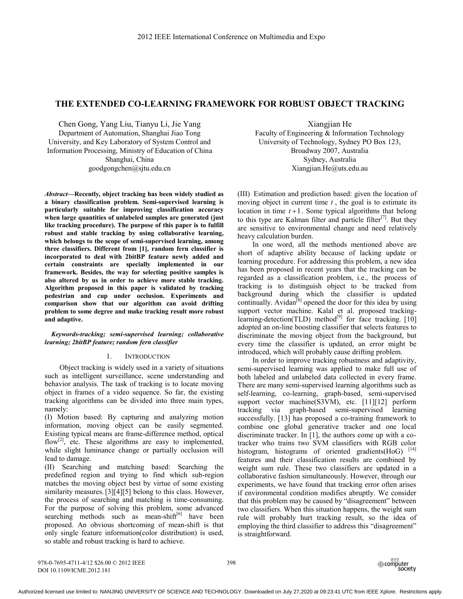# **THE EXTENDED CO-LEARNING FRAMEWORK FOR ROBUST OBJECT TRACKING**

Chen Gong, Yang Liu, Tianyu Li, Jie Yang Department of Automation, Shanghai Jiao Tong University, and Key Laboratory of System Control and Information Processing, Ministry of Education of China Shanghai, China goodgongchen@sjtu.edu.cn

*Abstract***—Recently, object tracking has been widely studied as a binary classification problem. Semi-supervised learning is particularly suitable for improving classification accuracy when large quantities of unlabeled samples are generated (just like tracking procedure). The purpose of this paper is to fulfill robust and stable tracking by using collaborative learning, which belongs to the scope of semi-supervised learning, among three classifiers. Different from [1], random fern classifier is incorporated to deal with 2bitBP feature newly added and certain constraints are specially implemented in our framework. Besides, the way for selecting positive samples is also altered by us in order to achieve more stable tracking. Algorithm proposed in this paper is validated by tracking pedestrian and cup under occlusion. Experiments and comparison show that our algorithm can avoid drifting problem to some degree and make tracking result more robust and adaptive.**

## *Keywords-tracking; semi-supervised learning; collaborative learning; 2bitBP feature; random fern classifier*

#### 1. INTRODUCTION

Object tracking is widely used in a variety of situations such as intelligent surveillance, scene understanding and behavior analysis. The task of tracking is to locate moving object in frames of a video sequence. So far, the existing tracking algorithms can be divided into three main types, namely:

(I) Motion based: By capturing and analyzing motion information, moving object can be easily segmented. Existing typical means are frame-difference method, optical flow<sup>[2]</sup>, etc. These algorithms are easy to implemented, while slight luminance change or partially occlusion will lead to damage.

(II) Searching and matching based: Searching the predefined region and trying to find which sub-region matches the moving object best by virtue of some existing similarity measures. [3][4][5] belong to this class. However, the process of searching and matching is time-consuming. For the purpose of solving this problem, some advanced searching methods such as mean-shift $[6]$  have been proposed. An obvious shortcoming of mean-shift is that only single feature information(color distribution) is used, so stable and robust tracking is hard to achieve.

Xiangjian He Faculty of Engineering & Information Technology University of Technology, Sydney PO Box 123, Broadway 2007, Australia Sydney, Australia Xiangjian.He@uts.edu.au

(III) Estimation and prediction based: given the location of moving object in current time *t* , the goal is to estimate its location in time  $t+1$ . Some typical algorithms that belong to this type are Kalman filter and particle filter<sup>[7]</sup>. But they are sensitive to environmental change and need relatively heavy calculation burden.

In one word, all the methods mentioned above are short of adaptive ability because of lacking update or learning procedure. For addressing this problem, a new idea has been proposed in recent years that the tracking can be regarded as a classification problem, i.e., the process of tracking is to distinguish object to be tracked from background during which the classifier is updated continually. Avidan<sup>[8]</sup> opened the door for this idea by using support vector machine. Kalal et al. proposed trackinglearning-detection(TLD) method<sup>[9]</sup> for face tracking.  $[10]$ adopted an on-line boosting classifier that selects features to discriminate the moving object from the background, but every time the classifier is updated, an error might be introduced, which will probably cause drifting problem.

In order to improve tracking robustness and adaptivity, semi-supervised learning was applied to make full use of both labeled and unlabeled data collected in every frame. There are many semi-supervised learning algorithms such as self-learning, co-learning, graph-based, semi-supervised support vector machine(S3VM), etc. [11][12] perform tracking via graph-based semi-supervised learning successfully. [13] has proposed a co-training framework to combine one global generative tracker and one local discriminate tracker. In [1], the authors come up with a cotracker who trains two SVM classifiers with RGB color histogram, histograms of oriented gradients(HoG)<sup>[14]</sup> features and their classification results are combined by weight sum rule. These two classifiers are updated in a collaborative fashion simultaneously. However, through our experiments, we have found that tracking error often arises if environmental condition modifies abruptly. We consider that this problem may be caused by "disagreement" between two classifiers. When this situation happens, the weight sum rule will probably hurt tracking result, so the idea of employing the third classifier to address this "disagreement" is straightforward.

978-0-7695-4711-4/12 \$26.00 © 2012 IEEE DOI 10.1109/ICME.2012.181

398

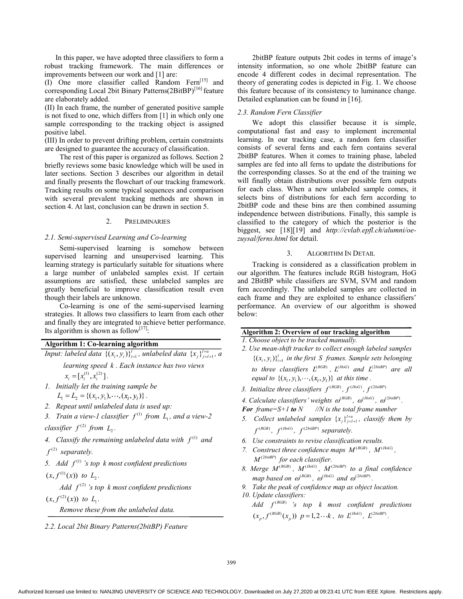In this paper, we have adopted three classifiers to form a robust tracking framework. The main differences or improvements between our work and [1] are:

(I) One more classifier called Random Fern[15] and corresponding Local 2bit Binary Patterns(2BitBP)<sup>[16]</sup> feature are elaborately added.

(II) In each frame, the number of generated positive sample is not fixed to one, which differs from [1] in which only one sample corresponding to the tracking object is assigned positive label.

(III) In order to prevent drifting problem, certain constraints are designed to guarantee the accuracy of classification.

The rest of this paper is organized as follows. Section 2 briefly reviews some basic knowledge which will be used in later sections. Section 3 describes our algorithm in detail and finally presents the flowchart of our tracking framework. Tracking results on some typical sequences and comparison with several prevalent tracking methods are shown in section 4. At last, conclusion can be drawn in section 5.

# 2. PRELIMINARIES

# *2.1. Semi-supervised Learning and Co-learning*

Semi-supervised learning is somehow between supervised learning and unsupervised learning. This learning strategy is particularly suitable for situations where a large number of unlabeled samples exist. If certain assumptions are satisfied, these unlabeled samples are greatly beneficial to improve classification result even though their labels are unknown.

Co-learning is one of the semi-supervised learning strategies. It allows two classifiers to learn from each other and finally they are integrated to achieve better performance. Its algorithm is shown as follow<sup>[17]</sup>:

# **Algorithm 1: Co-learning algorithm**

*Input: labeled data*  $\{(x_i, y_i)\}_{i=1}^l$ , *unlabeled data*  $\{x_j\}_{j=l+1}^{l+u}$ , *a learning speed k . Each instance has two views* 

 $x_i = [x_i^{(1)}, x_i^{(2)}].$ 

- *1. Initially let the training sample be*
- $L_1 = L_2 = \{(x_1, y_1), \cdots, (x_l, y_l)\}$ .
- *2. Repeat until unlabeled data is used up:*
- *3. Train a view-1 classifier*  $f^{(1)}$  *from L<sub>1</sub>, and a view-2 classifier*  $f^{(2)}$  *from*  $L_2$ *.*

- 4. Classify the remaining unlabeled data with  $f^{(1)}$  and  $f^{(2)}$  *separately.*
- 5. Add  $f^{(1)}$  *s* top *k* most confident predictions
- $(x, f<sup>(1)</sup>(x))$  *to*  $L<sub>2</sub>$ *.*

Add  $f^{(2)}$  *s* top *k* most confident predictions

 $(x, f<sup>(2)</sup>(x))$  *to*  $L<sub>1</sub>$ *.* 

*Remove these from the unlabeled data.* 

*2.2. Local 2bit Binary Patterns(2bitBP) Feature* 

2bitBP feature outputs 2bit codes in terms of image's intensity information, so one whole 2bitBP feature can encode 4 different codes in decimal representation. The theory of generating codes is depicted in Fig. 1. We choose this feature because of its consistency to luminance change. Detailed explanation can be found in [16].

## *2.3. Random Fern Classifier*

We adopt this classifier because it is simple, computational fast and easy to implement incremental learning. In our tracking case, a random fern classifier consists of several ferns and each fern contains several 2bitBP features. When it comes to training phase, labeled samples are fed into all ferns to update the distributions for the corresponding classes. So at the end of the training we will finally obtain distributions over possible fern outputs for each class. When a new unlabeled sample comes, it selects bins of distributions for each fern according to 2bitBP code and these bins are then combined assuming independence between distributions. Finally, this sample is classified to the category of which the posterior is the biggest, see [18][19] and *http://cvlab.epfl.ch/alumni/oezuysal/ferns.html* for detail.

## 3. ALGORITHM IN DETAIL

Tracking is considered as a classification problem in our algorithm. The features include RGB histogram, HoG and 2BitBP while classifiers are SVM, SVM and random fern accordingly. The unlabeled samples are collected in each frame and they are exploited to enhance classifiers' performance. An overview of our algorithm is showed below:

# **Algorithm 2: Overview of our tracking algorithm**

- *1. Choose object to be tracked manually.*
- *2. Use mean-shift tracker to collect enough labeled samples*   $\{(x_i, y_i)\}_{i=1}^l$  *in the first S frames. Sample sets belonging to three classifiers*  $L^{(RGB)}$ ,  $L^{(HoG)}$  *and*  $L^{(2bitBP)}$  *are all equal to*  $\{(x_1, y_1), \dots, (x_i, y_i)\}$  *at this time.*
- *3. Initialize three classifiers*  $f^{(RGB)}$ ,  $f^{(HoG)}$ ,  $f^{(2biBP)}$
- 4. Calculate classifiers' weights  $\omega^{(RGB)}$ ,  $\omega^{(HoG)}$ ,  $\omega^{(2biIBP)}$ .
- *For frame=S+1 to*  $N$  //N is the total frame number
- 5. Collect unlabeled samples  $\{x_j\}_{j=l+1}^{l+u}$ , classify them by  $f^{(RGB)}$ ,  $f^{(HoG)}$ ,  $f^{(2bitBP)}$  separately.
- *6. Use constraints to revise classification results.*
- *7.* Construct three confidence maps  $M^{(RGB)}$ ,  $M^{(HoG)}$ ,  $M^{(2  biIBP)}$  for each classifier.
- 8. Merge  $M^{(RGB)}$ ,  $M^{(HoG)}$ ,  $M^{(2bithBP)}$  to a final confidence *map based on*  $\omega^{(RGB)}$ *,*  $\omega^{(HoG)}$  *and*  $\omega^{(2biBP)}$ *.*
- *9. Take the peak of confidence map as object location.*
- *10. Update classifiers:* 
	- $\overline{A}$ dd  $f^{(RGB)}$  's top  $k$  most confident predictions  $(x_p, f^{(RGB)}(x_p))$   $p=1,2\cdots k$ , to  $L^{(HoG)}$ ,  $L^{(2bitBP)}$ .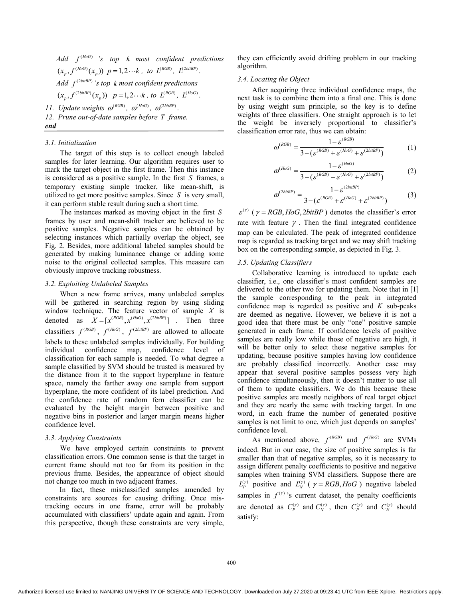$Add$   $f^{(HoG)}$  *'s top k most confident predictions*  $(x_p, f^{(HoG)}(x_p))$   $p=1,2\cdots k$ , to  $L^{(RGB)}$ ,  $L^{(2bitBP)}$ . *Add*  $f^{(2 \text{bitBP})}$  *s* top *k* most confident predictions  $(x_p, f^{(2bitBP)}(x_p))$   $p=1,2\cdots k$ , to  $L^{(RGB)}$ ,  $L^{(HoG)}$ . *11. Update weights*  $\omega^{(RGB)}$ *,*  $\omega^{(HoG)}$ *,*  $\omega^{(2bitBP)}$ *.* 

*12. Prune out-of-date samples before T frame.* 

#### *3.1. Initialization*

*end* 

The target of this step is to collect enough labeled samples for later learning. Our algorithm requires user to mark the target object in the first frame. Then this instance is considered as a positive sample. In the first *S* frames, a temporary existing simple tracker, like mean-shift, is utilized to get more positive samples. Since *S* is very small, it can perform stable result during such a short time.

The instances marked as moving object in the first *S* frames by user and mean-shift tracker are believed to be positive samples. Negative samples can be obtained by selecting instances which partially overlap the object, see Fig. 2. Besides, more additional labeled samples should be generated by making luminance change or adding some noise to the original collected samples. This measure can obviously improve tracking robustness.

### *3.2. Exploiting Unlabeled Samples*

When a new frame arrives, many unlabeled samples will be gathered in searching region by using sliding window technique. The feature vector of sample *X* is denoted as  $\hat{X} = [x^{(RGB)}, x^{(HoG)}, x^{(2biBP)}]$ . Then three classifiers  $f^{(RGB)}$ ,  $f^{(HoG)}$ ,  $f^{(2bitBP)}$  are allowed to allocate labels to these unlabeled samples individually. For building individual confidence map, confidence level of classification for each sample is needed. To what degree a sample classified by SVM should be trusted is measured by the distance from it to the support hyperplane in feature space, namely the farther away one sample from support hyperplane, the more confident of its label prediction. And the confidence rate of random fern classifier can be evaluated by the height margin between positive and negative bins in posterior and larger margin means higher confidence level.

# *3.3. Applying Constraints*

We have employed certain constraints to prevent classification errors. One common sense is that the target in current frame should not too far from its position in the previous frame. Besides, the appearance of object should not change too much in two adjacent frames.

In fact, these misclassified samples amended by constraints are sources for causing drifting. Once mistracking occurs in one frame, error will be probably accumulated with classifiers' update again and again. From this perspective, though these constraints are very simple, they can efficiently avoid drifting problem in our tracking algorithm.

### *3.4. Locating the Object*

After acquiring three individual confidence maps, the next task is to combine them into a final one. This is done by using weight sum principle, so the key is to define weights of three classifiers. One straight approach is to let the weight be inversely proportional to classifier's classification error rate, thus we can obtain:

$$
\omega^{(RGB)} = \frac{1 - \varepsilon^{(RGB)}}{3 - (\varepsilon^{(RGB)} + \varepsilon^{(HoG)} + \varepsilon^{(2biBP)})}
$$
(1)

$$
\omega^{(HoG)} = \frac{1 - \varepsilon^{(HoG)}}{3 - (\varepsilon^{(RGB)} + \varepsilon^{(HoG)} + \varepsilon^{(2biBP)})}
$$
(2)

$$
\omega^{(2biB) = \frac{1 - \varepsilon^{(2biB)} }{3 - (\varepsilon^{(RGB)} + \varepsilon^{(HoG)} + \varepsilon^{(2biB)^})}
$$
(3)

 $\varepsilon^{(\gamma)}$  ( $\gamma = RGB, HoG, 2bitBP$ ) denotes the classifier's error rate with feature  $\gamma$ . Then the final integrated confidence map can be calculated. The peak of integrated confidence map is regarded as tracking target and we may shift tracking box on the corresponding sample, as depicted in Fig. 3.

## *3.5. Updating Classifiers*

Collaborative learning is introduced to update each classifier, i.e., one classifier's most confident samples are delivered to the other two for updating them. Note that in [1] the sample corresponding to the peak in integrated confidence map is regarded as positive and *K* sub-peaks are deemed as negative. However, we believe it is not a good idea that there must be only "one" positive sample generated in each frame. If confidence levels of positive samples are really low while those of negative are high, it will be better only to select these negative samples for updating, because positive samples having low confidence are probably classified incorrectly. Another case may appear that several positive samples possess very high confidence simultaneously, then it doesn't matter to use all of them to update classifiers. We do this because these positive samples are mostly neighbors of real target object and they are nearly the same with tracking target. In one word, in each frame the number of generated positive samples is not limit to one, which just depends on samples' confidence level.

As mentioned above,  $f^{(RGB)}$  and  $f^{(HoG)}$  are SVMs indeed. But in our case, the size of positive samples is far smaller than that of negative samples, so it is necessary to assign different penalty coefficients to positive and negative samples when training SVM classifiers. Suppose there are  $L_p^{(\gamma)}$  positive and  $L_N^{(\gamma)}$  (  $\gamma = RGB, HoG$  ) negative labeled samples in  $f^{(r)}$  's current dataset, the penalty coefficients are denoted as  $C_P^{(\gamma)}$  and  $C_N^{(\gamma)}$ , then  $C_P^{(\gamma)}$  and  $C_N^{(\gamma)}$  should satisfy: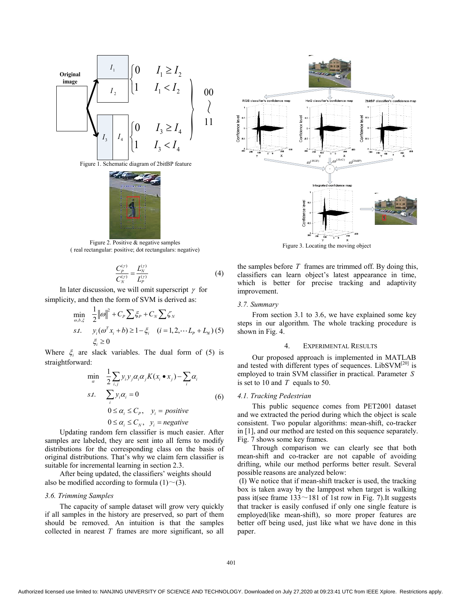



Figure 2. Positive & negative samples ( real rectangular: positive; dot rectangulars: negative)

$$
\frac{C_p^{(\gamma)}}{C_N^{(\gamma)}} = \frac{L_N^{(\gamma)}}{L_p^{(\gamma)}}
$$
(4)

In later discussion, we will omit superscript  $\gamma$  for simplicity, and then the form of SVM is derived as:

$$
\min_{\omega, b, \xi} \quad \frac{1}{2} ||\omega||^2 + C_p \sum \xi_p + C_N \sum \zeta_N
$$
\n
$$
s.t. \quad y_i(\omega^T x_i + b) \ge 1 - \xi_i \quad (i = 1, 2, \dots L_p + L_N) \tag{5}
$$
\n
$$
\xi_i \ge 0
$$

Where  $\xi$  are slack variables. The dual form of (5) is straightforward:

$$
\min_{\alpha} \quad \frac{1}{2} \sum_{i,j} y_i y_j \alpha_i \alpha_j K(x_i \bullet x_j) - \sum_i \alpha_i
$$
\n*s.t.*\n
$$
\sum_i y_i \alpha_i = 0
$$
\n
$$
0 \le \alpha_i \le C_p, \quad y_i = positive
$$
\n
$$
0 \le \alpha_i \le C_N, \quad y_i = negative
$$
\n(6)

Updating random fern classifier is much easier. After samples are labeled, they are sent into all ferns to modify distributions for the corresponding class on the basis of original distributions. That's why we claim fern classifier is suitable for incremental learning in section 2.3.

After being updated, the classifiers' weights should also be modified according to formula  $(1) \sim (3)$ .

# *3.6. Trimming Samples*

The capacity of sample dataset will grow very quickly if all samples in the history are preserved, so part of them should be removed. An intuition is that the samples collected in nearest *T* frames are more significant, so all



Figure 3. Locating the moving object

the samples before *T* frames are trimmed off. By doing this, classifiers can learn object's latest appearance in time, which is better for precise tracking and adaptivity improvement.

#### *3.7. Summary*

From section 3.1 to 3.6, we have explained some key steps in our algorithm. The whole tracking procedure is shown in Fig. 4.

#### 4. EXPERIMENTAL RESULTS

Our proposed approach is implemented in MATLAB and tested with different types of sequences. LibSV $M<sup>[20]</sup>$  is employed to train SVM classifier in practical. Parameter *S* is set to 10 and *T* equals to 50.

### *4.1. Tracking Pedestrian*

This public sequence comes from PET2001 dataset and we extracted the period during which the object is scale consistent. Two popular algorithms: mean-shift, co-tracker in [1], and our method are tested on this sequence separately. Fig. 7 shows some key frames.

Through comparison we can clearly see that both mean-shift and co-tracker are not capable of avoiding drifting, while our method performs better result. Several possible reasons are analyzed below:

 (I) We notice that if mean-shift tracker is used, the tracking box is taken away by the lamppost when target is walking pass it(see frame  $133 \sim 181$  of 1st row in Fig. 7).It suggests that tracker is easily confused if only one single feature is employed(like mean-shift), so more proper features are better off being used, just like what we have done in this paper.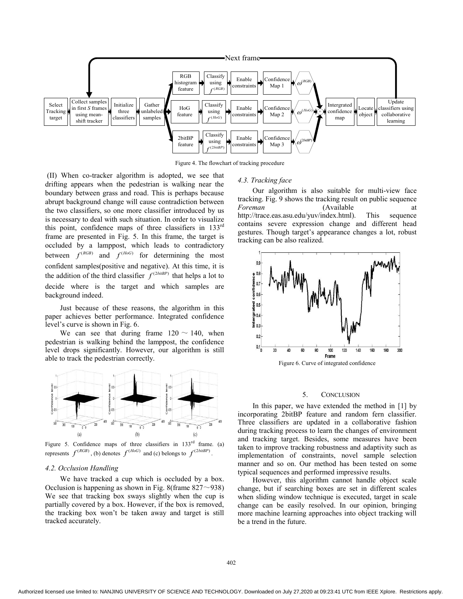

Figure 4. The flowchart of tracking procedure

 (II) When co-tracker algorithm is adopted, we see that drifting appears when the pedestrian is walking near the boundary between grass and road. This is perhaps because abrupt background change will cause contradiction between the two classifiers, so one more classifier introduced by us is necessary to deal with such situation. In order to visualize this point, confidence maps of three classifiers in 133rd frame are presented in Fig. 5. In this frame, the target is occluded by a lamppost, which leads to contradictory between  $f^{(RGB)}$  and  $f^{(HoG)}$  for determining the most confident samples(positive and negative). At this time, it is the addition of the third classifier  $f^{(2 \text{bifBP})}$  that helps a lot to decide where is the target and which samples are background indeed.

Just because of these reasons, the algorithm in this paper achieves better performance. Integrated confidence level's curve is shown in Fig. 6.

We can see that during frame  $120 \sim 140$ , when pedestrian is walking behind the lamppost, the confidence level drops significantly. However, our algorithm is still able to track the pedestrian correctly.



Figure 5. Confidence maps of three classifiers in  $133<sup>rd</sup>$  frame. (a) represents  $f^{(RGB)}$ , (b) denotes  $f^{(HoG)}$  and (c) belongs to  $f^{(2 \text{bitBP})}$ .

#### *4.2. Occlusion Handling*

We have tracked a cup which is occluded by a box. Occlusion is happening as shown in Fig. 8(frame  $827 \sim 938$ ) We see that tracking box sways slightly when the cup is partially covered by a box. However, if the box is removed, the tracking box won't be taken away and target is still tracked accurately.

#### *4.3. Tracking face*

Our algorithm is also suitable for multi-view face tracking. Fig. 9 shows the tracking result on public sequence *Foreman* (Available at http://trace.eas.asu.edu/yuv/index.html). This sequence contains severe expression change and different head gestures. Though target's appearance changes a lot, robust tracking can be also realized.



# 5. CONCLUSION

In this paper, we have extended the method in [1] by incorporating 2bitBP feature and random fern classifier. Three classifiers are updated in a collaborative fashion during tracking process to learn the changes of environment and tracking target. Besides, some measures have been taken to improve tracking robustness and adaptivity such as implementation of constraints, novel sample selection manner and so on. Our method has been tested on some typical sequences and performed impressive results.

However, this algorithm cannot handle object scale change, but if searching boxes are set in different scales when sliding window technique is executed, target in scale change can be easily resolved. In our opinion, bringing more machine learning approaches into object tracking will be a trend in the future.